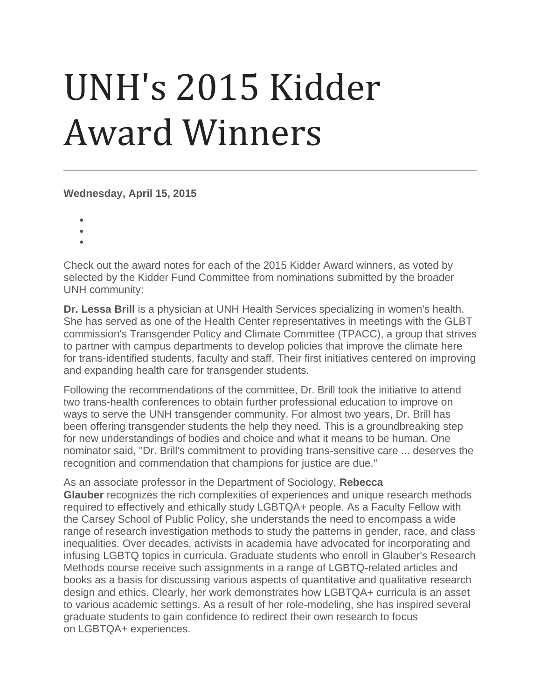## UNH's 2015 Kidder Award Winners

**Wednesday, April 15, 2015**

- •
- •
- •

Check out the award notes for each of the 2015 Kidder Award winners, as voted by selected by the Kidder Fund Committee from nominations submitted by the broader UNH community:

**Dr. Lessa Brill** is a physician at UNH Health Services specializing in women's health. She has served as one of the Health Center representatives in meetings with the GLBT commission's Transgender Policy and Climate Committee (TPACC), a group that strives to partner with campus departments to develop policies that improve the climate here for trans-identified students, faculty and staff. Their first initiatives centered on improving and expanding health care for transgender students.

Following the recommendations of the committee, Dr. Brill took the initiative to attend two trans-health conferences to obtain further professional education to improve on ways to serve the UNH transgender community. For almost two years, Dr. Brill has been offering transgender students the help they need. This is a groundbreaking step for new understandings of bodies and choice and what it means to be human. One nominator said, "Dr. Brill's commitment to providing trans-sensitive care ... deserves the recognition and commendation that champions for justice are due."

As an associate professor in the Department of Sociology, **Rebecca Glauber** recognizes the rich complexities of experiences and unique research methods required to effectively and ethically study LGBTQA+ people. As a Faculty Fellow with the Carsey School of Public Policy, she understands the need to encompass a wide range of research investigation methods to study the patterns in gender, race, and class inequalities. Over decades, activists in academia have advocated for incorporating and infusing LGBTQ topics in curricula. Graduate students who enroll in Glauber's Research Methods course receive such assignments in a range of LGBTQ-related articles and books as a basis for discussing various aspects of quantitative and qualitative research design and ethics. Clearly, her work demonstrates how LGBTQA+ curricula is an asset to various academic settings. As a result of her role-modeling, she has inspired several graduate students to gain confidence to redirect their own research to focus on LGBTQA+ experiences.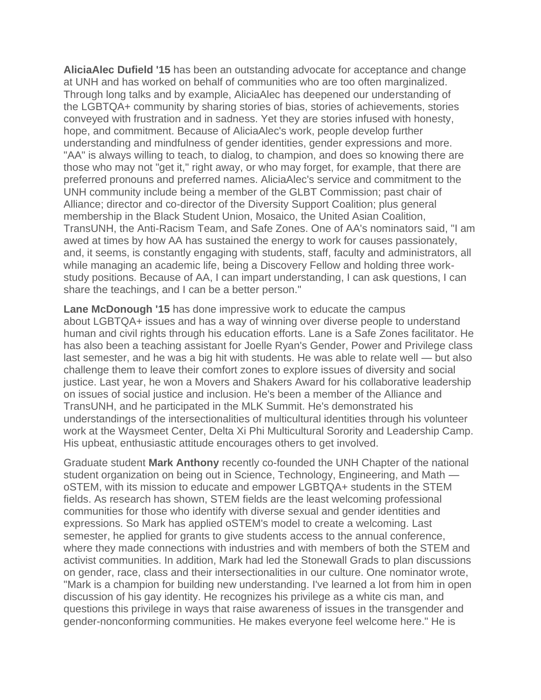**AliciaAlec Dufield '15** has been an outstanding advocate for acceptance and change at UNH and has worked on behalf of communities who are too often marginalized. Through long talks and by example, AliciaAlec has deepened our understanding of the LGBTQA+ community by sharing stories of bias, stories of achievements, stories conveyed with frustration and in sadness. Yet they are stories infused with honesty, hope, and commitment. Because of AliciaAlec's work, people develop further understanding and mindfulness of gender identities, gender expressions and more. "AA" is always willing to teach, to dialog, to champion, and does so knowing there are those who may not "get it," right away, or who may forget, for example, that there are preferred pronouns and preferred names. AliciaAlec's service and commitment to the UNH community include being a member of the GLBT Commission; past chair of Alliance; director and co-director of the Diversity Support Coalition; plus general membership in the Black Student Union, Mosaico, the United Asian Coalition, TransUNH, the Anti-Racism Team, and Safe Zones. One of AA's nominators said, "I am awed at times by how AA has sustained the energy to work for causes passionately, and, it seems, is constantly engaging with students, staff, faculty and administrators, all while managing an academic life, being a Discovery Fellow and holding three workstudy positions. Because of AA, I can impart understanding, I can ask questions, I can share the teachings, and I can be a better person."

**Lane McDonough '15** has done impressive work to educate the campus about LGBTQA+ issues and has a way of winning over diverse people to understand human and civil rights through his education efforts. Lane is a Safe Zones facilitator. He has also been a teaching assistant for Joelle Ryan's Gender, Power and Privilege class last semester, and he was a big hit with students. He was able to relate well — but also challenge them to leave their comfort zones to explore issues of diversity and social justice. Last year, he won a Movers and Shakers Award for his collaborative leadership on issues of social justice and inclusion. He's been a member of the Alliance and TransUNH, and he participated in the MLK Summit. He's demonstrated his understandings of the intersectionalities of multicultural identities through his volunteer work at the Waysmeet Center, Delta Xi Phi Multicultural Sorority and Leadership Camp. His upbeat, enthusiastic attitude encourages others to get involved.

Graduate student **Mark Anthony** recently co-founded the UNH Chapter of the national student organization on being out in Science, Technology, Engineering, and Math oSTEM, with its mission to educate and empower LGBTQA+ students in the STEM fields. As research has shown, STEM fields are the least welcoming professional communities for those who identify with diverse sexual and gender identities and expressions. So Mark has applied oSTEM's model to create a welcoming. Last semester, he applied for grants to give students access to the annual conference, where they made connections with industries and with members of both the STEM and activist communities. In addition, Mark had led the Stonewall Grads to plan discussions on gender, race, class and their intersectionalities in our culture. One nominator wrote, "Mark is a champion for building new understanding. I've learned a lot from him in open discussion of his gay identity. He recognizes his privilege as a white cis man, and questions this privilege in ways that raise awareness of issues in the transgender and gender-nonconforming communities. He makes everyone feel welcome here." He is